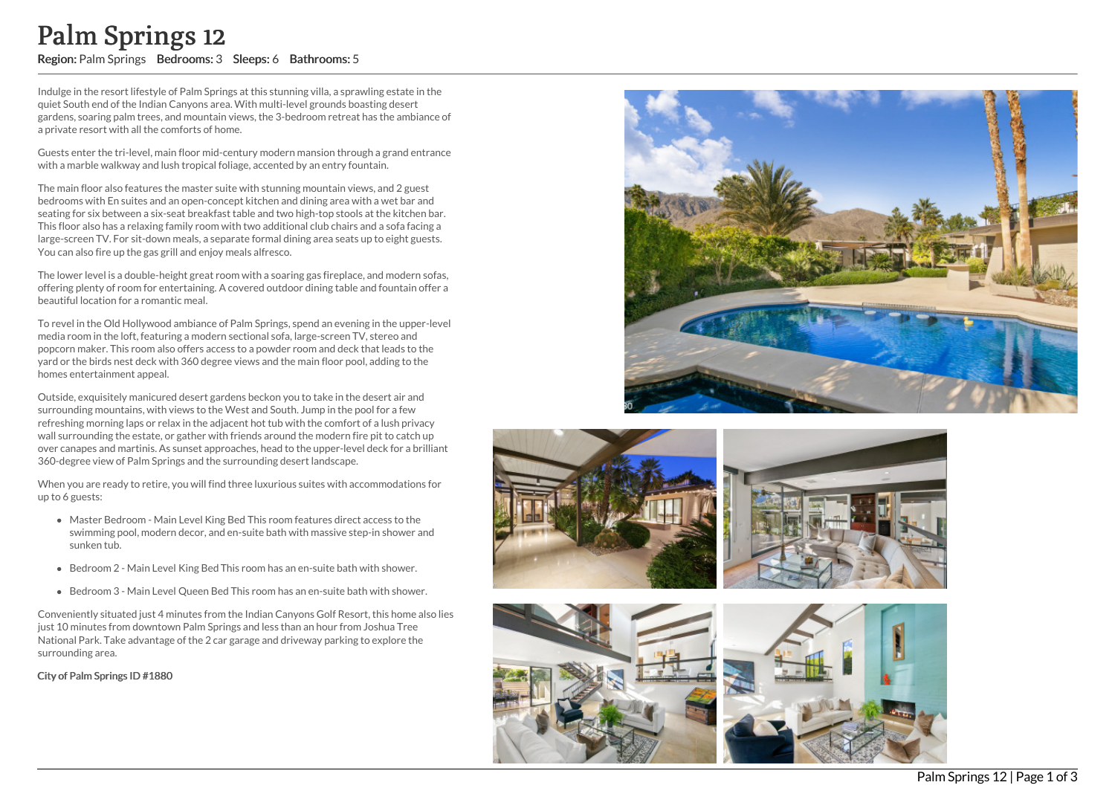Indulge in the resort lifestyle of Palm Springs at this stunning villa, a sprawling estate in the quiet South end of the Indian Canyons area. With multi-level grounds boasting desert gardens, soaring palm trees, and mountain views, the 3-bedroom retreat has the ambiance of a private resort with all the comforts of home.

Guests enter the tri-level, main floor mid-century modern mansion through a grand entrance with a marble walkway and lush tropical foliage, accented by an entry fountain.

The main floor also features the master suite with stunning mountain views, and 2 guest bedrooms with En suites and an open-concept kitchen and dining area with a wet bar and seating for six between a six-seat breakfast table and two high-top stools at the kitchen bar. This floor also has a relaxing family room with two additional club chairs and a sofa facing a large-screen TV. For sit-down meals, a separate formal dining area seats up to eight guests. You can also fire up the gas grill and enjoy meals alfresco. **Palm Springs ID**<br> **Region: Palm Springs Bedrooms: 3 Sleeps: 6 Bathrooms: 5**<br>
Indulge in the resort lifestyle of Palm Springs at this stunning villa, a spray<br>
quide South end of the Indina Canyons area. With multi-level gr

The lower level is a double-height great room with a soaring gas fireplace, and modern sofas, offering plenty of room for entertaining. A covered outdoor dining table and fountain offer a beautiful location for a romantic meal.

To revel in the Old Hollywood ambiance of Palm Springs, spend an evening in the upper-level media room in the loft, featuring a modern sectional sofa, large-screen TV, stereo and popcorn maker. This room also offers access to a powder room and deck that leads to the yard or the birds nest deck with 360 degree views and the main floor pool, adding to the homes entertainment appeal.

Outside, exquisitely manicured desert gardens beckon you to take in the desert air and surrounding mountains, with views to the West and South. Jump in the pool for a few refreshing morning laps or relax in the adjacent hot tub with the comfort of a lush privacy wall surrounding the estate, or gather with friends around the modern fire pit to catch up over canapes and martinis. As sunset approaches, head to the upper-level deck for a brilliant 360-degree view of Palm Springs and the surrounding desert landscape.

When you are ready to retire, you will find three luxurious suites with accommodations for up to 6 guests:

- Master Bedroom Main Level King Bed This room features direct access to the swimming pool, modern decor, and en-suite bath with massive step-in shower and sunken tub.
- Bedroom 2 Main Level King Bed This room has an en-suite bath with shower.
- Bedroom 3 Main Level Queen Bed This room has an en-suite bath with shower.

Conveniently situated just 4 minutes from the Indian Canyons Golf Resort, this home also lies just 10 minutes from downtown Palm Springs and less than an hour from Joshua Tree National Park. Take advantage of the 2 car garage and driveway parking to explore the surrounding area.







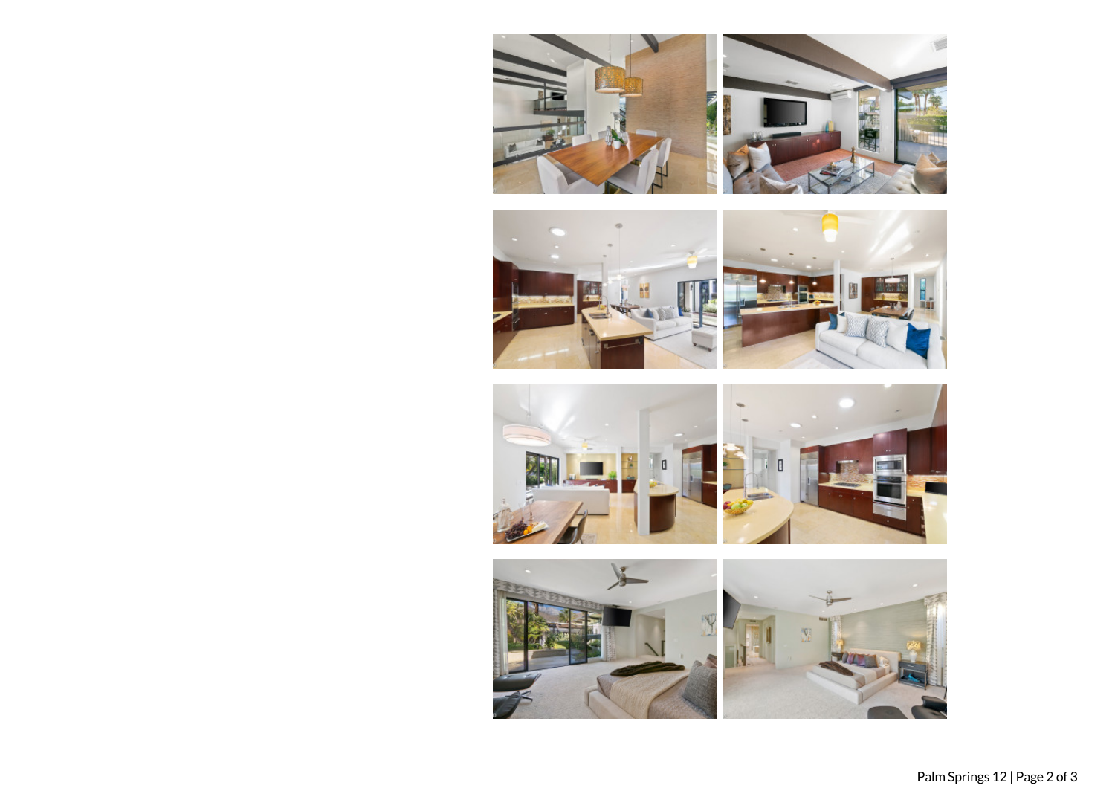